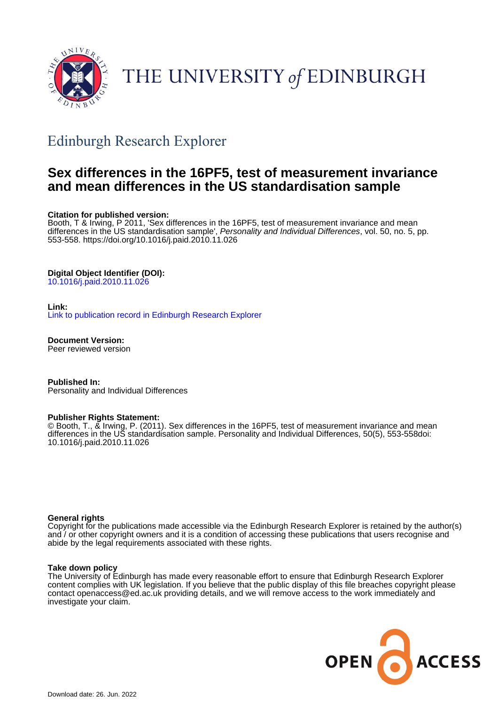

# THE UNIVERSITY of EDINBURGH

## Edinburgh Research Explorer

## **Sex differences in the 16PF5, test of measurement invariance and mean differences in the US standardisation sample**

#### **Citation for published version:**

Booth, T & Irwing, P 2011, 'Sex differences in the 16PF5, test of measurement invariance and mean differences in the US standardisation sample', Personality and Individual Differences, vol. 50, no. 5, pp. 553-558.<https://doi.org/10.1016/j.paid.2010.11.026>

#### **Digital Object Identifier (DOI):**

[10.1016/j.paid.2010.11.026](https://doi.org/10.1016/j.paid.2010.11.026)

#### **Link:**

[Link to publication record in Edinburgh Research Explorer](https://www.research.ed.ac.uk/en/publications/6a9c89ba-acf8-487e-bd68-9e15b7dc5b89)

**Document Version:** Peer reviewed version

**Published In:** Personality and Individual Differences

#### **Publisher Rights Statement:**

© Booth, T., & Irwing, P. (2011). Sex differences in the 16PF5, test of measurement invariance and mean differences in the US standardisation sample. Personality and Individual Differences, 50(5), 553-558doi: 10.1016/j.paid.2010.11.026

#### **General rights**

Copyright for the publications made accessible via the Edinburgh Research Explorer is retained by the author(s) and / or other copyright owners and it is a condition of accessing these publications that users recognise and abide by the legal requirements associated with these rights.

#### **Take down policy**

The University of Edinburgh has made every reasonable effort to ensure that Edinburgh Research Explorer content complies with UK legislation. If you believe that the public display of this file breaches copyright please contact openaccess@ed.ac.uk providing details, and we will remove access to the work immediately and investigate your claim.

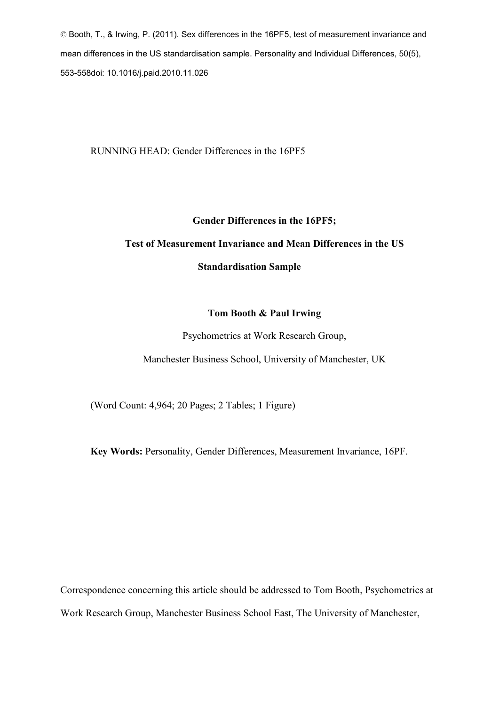© Booth, T., & Irwing, P. (2011). Sex differences in the 16PF5, test of measurement invariance and mean differences in the US standardisation sample. Personality and Individual Differences, 50(5), 553-558doi: 10.1016/j.paid.2010.11.026

RUNNING HEAD: Gender Differences in the 16PF5

## **Gender Differences in the 16PF5;**

## **Test of Measurement Invariance and Mean Differences in the US**

## **Standardisation Sample**

## **Tom Booth & Paul Irwing**

Psychometrics at Work Research Group,

Manchester Business School, University of Manchester, UK

(Word Count: 4,964; 20 Pages; 2 Tables; 1 Figure)

**Key Words:** Personality, Gender Differences, Measurement Invariance, 16PF.

Correspondence concerning this article should be addressed to Tom Booth, Psychometrics at Work Research Group, Manchester Business School East, The University of Manchester,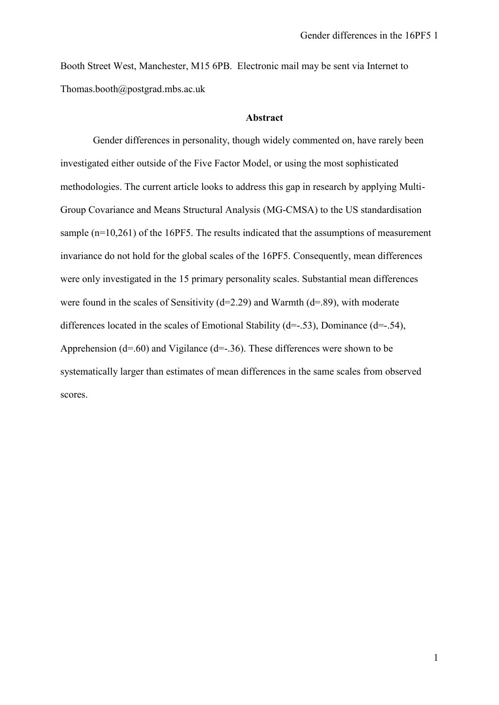Booth Street West, Manchester, M15 6PB. Electronic mail may be sent via Internet to Thomas.booth@postgrad.mbs.ac.uk

#### **Abstract**

Gender differences in personality, though widely commented on, have rarely been investigated either outside of the Five Factor Model, or using the most sophisticated methodologies. The current article looks to address this gap in research by applying Multi-Group Covariance and Means Structural Analysis (MG-CMSA) to the US standardisation sample (n=10,261) of the 16PF5. The results indicated that the assumptions of measurement invariance do not hold for the global scales of the 16PF5. Consequently, mean differences were only investigated in the 15 primary personality scales. Substantial mean differences were found in the scales of Sensitivity ( $d=2.29$ ) and Warmth ( $d=89$ ), with moderate differences located in the scales of Emotional Stability ( $d=-.53$ ), Dominance ( $d=-.54$ ), Apprehension (d=.60) and Vigilance (d=-.36). These differences were shown to be systematically larger than estimates of mean differences in the same scales from observed scores.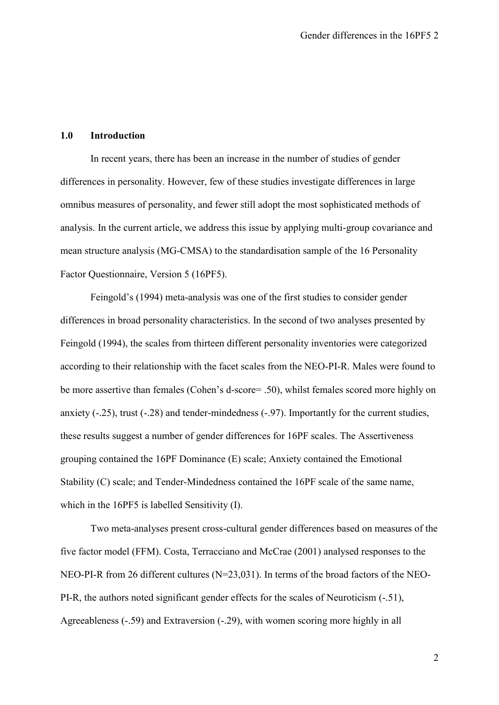#### **1.0 Introduction**

In recent years, there has been an increase in the number of studies of gender differences in personality. However, few of these studies investigate differences in large omnibus measures of personality, and fewer still adopt the most sophisticated methods of analysis. In the current article, we address this issue by applying multi-group covariance and mean structure analysis (MG-CMSA) to the standardisation sample of the 16 Personality Factor Questionnaire, Version 5 (16PF5).

Feingold's (1994) meta-analysis was one of the first studies to consider gender differences in broad personality characteristics. In the second of two analyses presented by Feingold (1994), the scales from thirteen different personality inventories were categorized according to their relationship with the facet scales from the NEO-PI-R. Males were found to be more assertive than females (Cohen's d-score= .50), whilst females scored more highly on anxiety (-.25), trust (-.28) and tender-mindedness (-.97). Importantly for the current studies, these results suggest a number of gender differences for 16PF scales. The Assertiveness grouping contained the 16PF Dominance (E) scale; Anxiety contained the Emotional Stability (C) scale; and Tender-Mindedness contained the 16PF scale of the same name, which in the 16PF5 is labelled Sensitivity (I).

Two meta-analyses present cross-cultural gender differences based on measures of the five factor model (FFM). Costa, Terracciano and McCrae (2001) analysed responses to the NEO-PI-R from 26 different cultures (N=23,031). In terms of the broad factors of the NEO-PI-R, the authors noted significant gender effects for the scales of Neuroticism (-.51), Agreeableness (-.59) and Extraversion (-.29), with women scoring more highly in all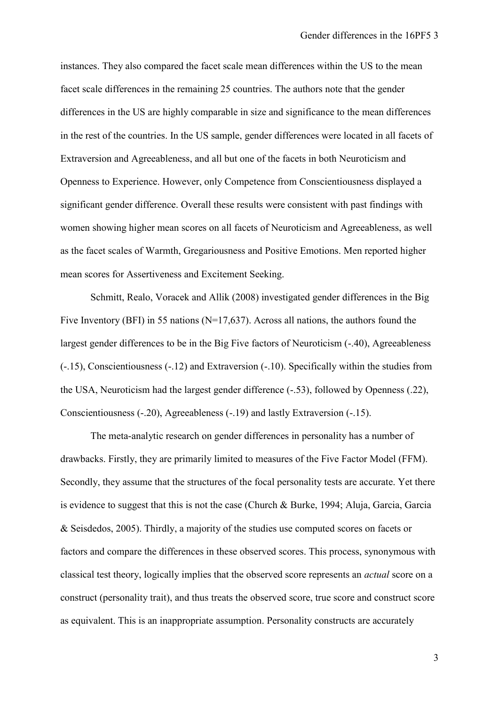instances. They also compared the facet scale mean differences within the US to the mean facet scale differences in the remaining 25 countries. The authors note that the gender differences in the US are highly comparable in size and significance to the mean differences in the rest of the countries. In the US sample, gender differences were located in all facets of Extraversion and Agreeableness, and all but one of the facets in both Neuroticism and Openness to Experience. However, only Competence from Conscientiousness displayed a significant gender difference. Overall these results were consistent with past findings with women showing higher mean scores on all facets of Neuroticism and Agreeableness, as well as the facet scales of Warmth, Gregariousness and Positive Emotions. Men reported higher mean scores for Assertiveness and Excitement Seeking.

Schmitt, Realo, Voracek and Allik (2008) investigated gender differences in the Big Five Inventory (BFI) in 55 nations (N=17,637). Across all nations, the authors found the largest gender differences to be in the Big Five factors of Neuroticism  $(-.40)$ , Agreeableness (-.15), Conscientiousness (-.12) and Extraversion (-.10). Specifically within the studies from the USA, Neuroticism had the largest gender difference (-.53), followed by Openness (.22), Conscientiousness (-.20), Agreeableness (-.19) and lastly Extraversion (-.15).

The meta-analytic research on gender differences in personality has a number of drawbacks. Firstly, they are primarily limited to measures of the Five Factor Model (FFM). Secondly, they assume that the structures of the focal personality tests are accurate. Yet there is evidence to suggest that this is not the case (Church & Burke, 1994; Aluja, Garcia, Garcia & Seisdedos, 2005). Thirdly, a majority of the studies use computed scores on facets or factors and compare the differences in these observed scores. This process, synonymous with classical test theory, logically implies that the observed score represents an *actual* score on a construct (personality trait), and thus treats the observed score, true score and construct score as equivalent. This is an inappropriate assumption. Personality constructs are accurately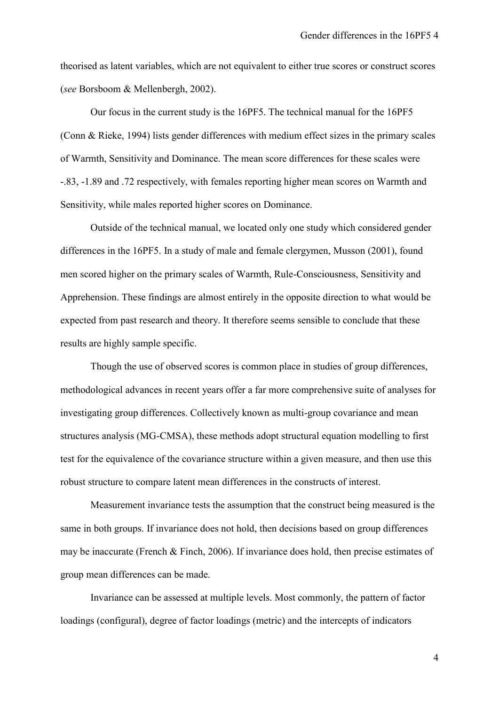theorised as latent variables, which are not equivalent to either true scores or construct scores (*see* Borsboom & Mellenbergh, 2002).

Our focus in the current study is the 16PF5. The technical manual for the 16PF5 (Conn & Rieke, 1994) lists gender differences with medium effect sizes in the primary scales of Warmth, Sensitivity and Dominance. The mean score differences for these scales were -.83, -1.89 and .72 respectively, with females reporting higher mean scores on Warmth and Sensitivity, while males reported higher scores on Dominance.

Outside of the technical manual, we located only one study which considered gender differences in the 16PF5. In a study of male and female clergymen, Musson (2001), found men scored higher on the primary scales of Warmth, Rule-Consciousness, Sensitivity and Apprehension. These findings are almost entirely in the opposite direction to what would be expected from past research and theory. It therefore seems sensible to conclude that these results are highly sample specific.

Though the use of observed scores is common place in studies of group differences, methodological advances in recent years offer a far more comprehensive suite of analyses for investigating group differences. Collectively known as multi-group covariance and mean structures analysis (MG-CMSA), these methods adopt structural equation modelling to first test for the equivalence of the covariance structure within a given measure, and then use this robust structure to compare latent mean differences in the constructs of interest.

Measurement invariance tests the assumption that the construct being measured is the same in both groups. If invariance does not hold, then decisions based on group differences may be inaccurate (French & Finch, 2006). If invariance does hold, then precise estimates of group mean differences can be made.

Invariance can be assessed at multiple levels. Most commonly, the pattern of factor loadings (configural), degree of factor loadings (metric) and the intercepts of indicators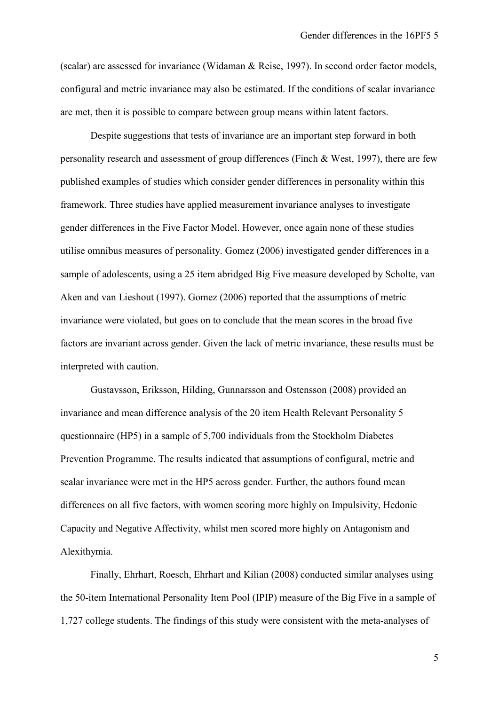(scalar) are assessed for invariance (Widaman & Reise, 1997). In second order factor models, configural and metric invariance may also be estimated. If the conditions of scalar invariance are met, then it is possible to compare between group means within latent factors.

Despite suggestions that tests of invariance are an important step forward in both personality research and assessment of group differences (Finch & West, 1997), there are few published examples of studies which consider gender differences in personality within this framework. Three studies have applied measurement invariance analyses to investigate gender differences in the Five Factor Model. However, once again none of these studies utilise omnibus measures of personality. Gomez (2006) investigated gender differences in a sample of adolescents, using a 25 item abridged Big Five measure developed by Scholte, van Aken and van Lieshout (1997). Gomez (2006) reported that the assumptions of metric invariance were violated, but goes on to conclude that the mean scores in the broad five factors are invariant across gender. Given the lack of metric invariance, these results must be interpreted with caution.

Gustavsson, Eriksson, Hilding, Gunnarsson and Ostensson (2008) provided an invariance and mean difference analysis of the 20 item Health Relevant Personality 5 questionnaire (HP5) in a sample of 5,700 individuals from the Stockholm Diabetes Prevention Programme. The results indicated that assumptions of configural, metric and scalar invariance were met in the HP5 across gender. Further, the authors found mean differences on all five factors, with women scoring more highly on Impulsivity, Hedonic Capacity and Negative Affectivity, whilst men scored more highly on Antagonism and Alexithymia.

Finally, Ehrhart, Roesch, Ehrhart and Kilian (2008) conducted similar analyses using the 50-item International Personality Item Pool (IPIP) measure of the Big Five in a sample of 1,727 college students. The findings of this study were consistent with the meta-analyses of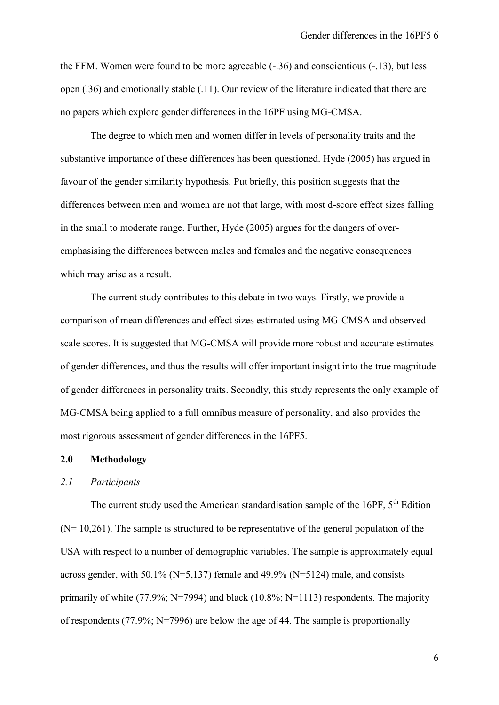the FFM. Women were found to be more agreeable (-.36) and conscientious (-.13), but less open (.36) and emotionally stable (.11). Our review of the literature indicated that there are no papers which explore gender differences in the 16PF using MG-CMSA.

The degree to which men and women differ in levels of personality traits and the substantive importance of these differences has been questioned. Hyde (2005) has argued in favour of the gender similarity hypothesis. Put briefly, this position suggests that the differences between men and women are not that large, with most d-score effect sizes falling in the small to moderate range. Further, Hyde (2005) argues for the dangers of overemphasising the differences between males and females and the negative consequences which may arise as a result.

The current study contributes to this debate in two ways. Firstly, we provide a comparison of mean differences and effect sizes estimated using MG-CMSA and observed scale scores. It is suggested that MG-CMSA will provide more robust and accurate estimates of gender differences, and thus the results will offer important insight into the true magnitude of gender differences in personality traits. Secondly, this study represents the only example of MG-CMSA being applied to a full omnibus measure of personality, and also provides the most rigorous assessment of gender differences in the 16PF5.

## **2.0 Methodology**

#### *2.1 Participants*

The current study used the American standardisation sample of the 16PF, 5<sup>th</sup> Edition  $(N= 10,261)$ . The sample is structured to be representative of the general population of the USA with respect to a number of demographic variables. The sample is approximately equal across gender, with 50.1% ( $N=5,137$ ) female and 49.9% ( $N=5124$ ) male, and consists primarily of white (77.9%; N=7994) and black (10.8%; N=1113) respondents. The majority of respondents (77.9%; N=7996) are below the age of 44. The sample is proportionally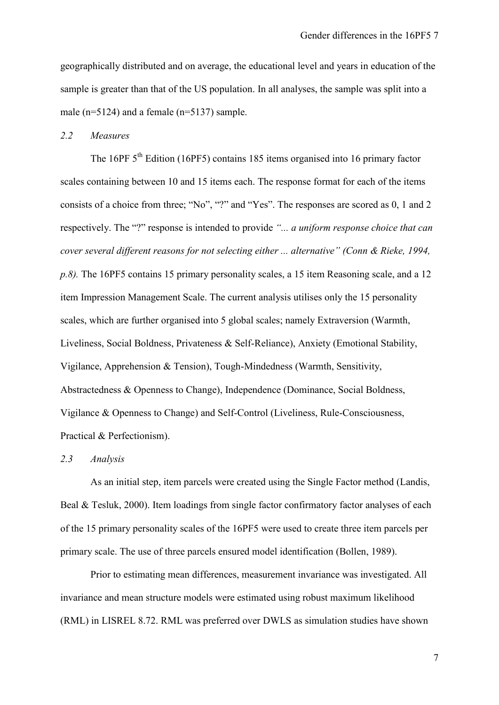geographically distributed and on average, the educational level and years in education of the sample is greater than that of the US population. In all analyses, the sample was split into a male (n=5124) and a female (n=5137) sample.

## *2.2 Measures*

The 16PF 5<sup>th</sup> Edition (16PF5) contains 185 items organised into 16 primary factor scales containing between 10 and 15 items each. The response format for each of the items consists of a choice from three; "No", "?" and "Yes". The responses are scored as 0, 1 and 2 respectively. The "?" response is intended to provide *"... a uniform response choice that can cover several different reasons for not selecting either ... alternative" (Conn & Rieke, 1994, p.8).* The 16PF5 contains 15 primary personality scales, a 15 item Reasoning scale, and a 12 item Impression Management Scale. The current analysis utilises only the 15 personality scales, which are further organised into 5 global scales; namely Extraversion (Warmth, Liveliness, Social Boldness, Privateness & Self-Reliance), Anxiety (Emotional Stability, Vigilance, Apprehension & Tension), Tough-Mindedness (Warmth, Sensitivity, Abstractedness & Openness to Change), Independence (Dominance, Social Boldness, Vigilance & Openness to Change) and Self-Control (Liveliness, Rule-Consciousness, Practical & Perfectionism).

#### *2.3 Analysis*

As an initial step, item parcels were created using the Single Factor method (Landis, Beal & Tesluk, 2000). Item loadings from single factor confirmatory factor analyses of each of the 15 primary personality scales of the 16PF5 were used to create three item parcels per primary scale. The use of three parcels ensured model identification (Bollen, 1989).

Prior to estimating mean differences, measurement invariance was investigated. All invariance and mean structure models were estimated using robust maximum likelihood (RML) in LISREL 8.72. RML was preferred over DWLS as simulation studies have shown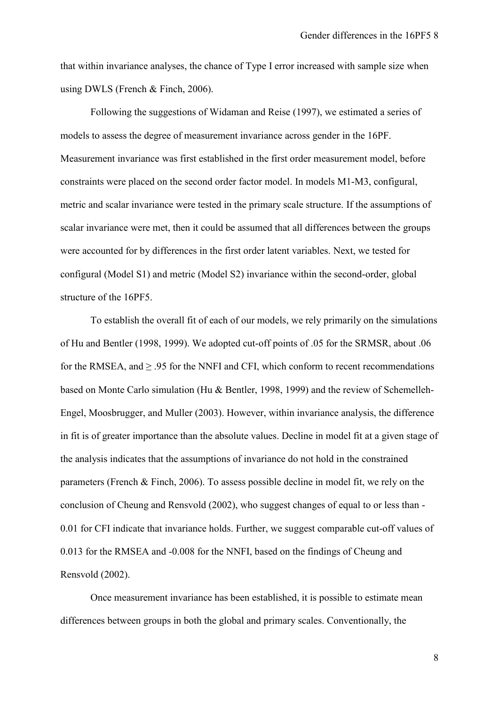that within invariance analyses, the chance of Type I error increased with sample size when using DWLS (French & Finch, 2006).

Following the suggestions of Widaman and Reise (1997), we estimated a series of models to assess the degree of measurement invariance across gender in the 16PF. Measurement invariance was first established in the first order measurement model, before constraints were placed on the second order factor model. In models M1-M3, configural, metric and scalar invariance were tested in the primary scale structure. If the assumptions of scalar invariance were met, then it could be assumed that all differences between the groups were accounted for by differences in the first order latent variables. Next, we tested for configural (Model S1) and metric (Model S2) invariance within the second-order, global structure of the 16PF5.

To establish the overall fit of each of our models, we rely primarily on the simulations of Hu and Bentler (1998, 1999). We adopted cut-off points of .05 for the SRMSR, about .06 for the RMSEA, and  $> 0.95$  for the NNFI and CFI, which conform to recent recommendations based on Monte Carlo simulation (Hu & Bentler, 1998, 1999) and the review of Schemelleh-Engel, Moosbrugger, and Muller (2003). However, within invariance analysis, the difference in fit is of greater importance than the absolute values. Decline in model fit at a given stage of the analysis indicates that the assumptions of invariance do not hold in the constrained parameters (French & Finch, 2006). To assess possible decline in model fit, we rely on the conclusion of Cheung and Rensvold (2002), who suggest changes of equal to or less than - 0.01 for CFI indicate that invariance holds. Further, we suggest comparable cut-off values of 0.013 for the RMSEA and -0.008 for the NNFI, based on the findings of Cheung and Rensvold (2002).

Once measurement invariance has been established, it is possible to estimate mean differences between groups in both the global and primary scales. Conventionally, the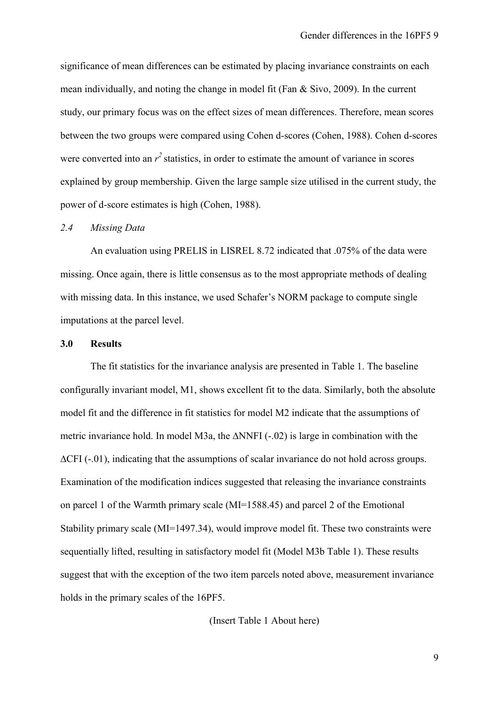significance of mean differences can be estimated by placing invariance constraints on each mean individually, and noting the change in model fit (Fan & Sivo, 2009). In the current study, our primary focus was on the effect sizes of mean differences. Therefore, mean scores between the two groups were compared using Cohen d-scores (Cohen, 1988). Cohen d-scores were converted into an  $r^2$  statistics, in order to estimate the amount of variance in scores explained by group membership. Given the large sample size utilised in the current study, the power of d-score estimates is high (Cohen, 1988).

#### *2.4 Missing Data*

An evaluation using PRELIS in LISREL 8.72 indicated that .075% of the data were missing. Once again, there is little consensus as to the most appropriate methods of dealing with missing data. In this instance, we used Schafer's NORM package to compute single imputations at the parcel level.

#### **3.0 Results**

The fit statistics for the invariance analysis are presented in Table 1. The baseline configurally invariant model, M1, shows excellent fit to the data. Similarly, both the absolute model fit and the difference in fit statistics for model M2 indicate that the assumptions of metric invariance hold. In model M3a, the ∆NNFI (-.02) is large in combination with the  $\Delta$ CFI (-.01), indicating that the assumptions of scalar invariance do not hold across groups. Examination of the modification indices suggested that releasing the invariance constraints on parcel 1 of the Warmth primary scale (MI=1588.45) and parcel 2 of the Emotional Stability primary scale (MI=1497.34), would improve model fit. These two constraints were sequentially lifted, resulting in satisfactory model fit (Model M3b Table 1). These results suggest that with the exception of the two item parcels noted above, measurement invariance holds in the primary scales of the 16PF5.

## (Insert Table 1 About here)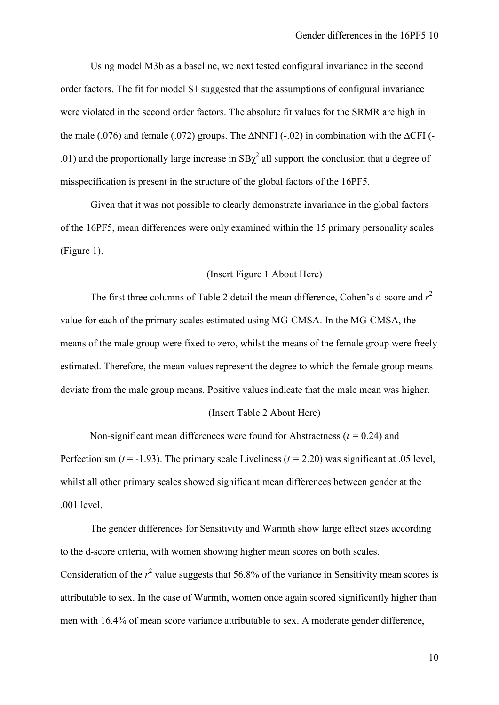Using model M3b as a baseline, we next tested configural invariance in the second order factors. The fit for model S1 suggested that the assumptions of configural invariance were violated in the second order factors. The absolute fit values for the SRMR are high in the male (.076) and female (.072) groups. The ∆NNFI (-.02) in combination with the ∆CFI (- .01) and the proportionally large increase in  $SB\chi^2$  all support the conclusion that a degree of misspecification is present in the structure of the global factors of the 16PF5.

Given that it was not possible to clearly demonstrate invariance in the global factors of the 16PF5, mean differences were only examined within the 15 primary personality scales (Figure 1).

### (Insert Figure 1 About Here)

The first three columns of Table 2 detail the mean difference, Cohen's d-score and  $r^2$ value for each of the primary scales estimated using MG-CMSA. In the MG-CMSA, the means of the male group were fixed to zero, whilst the means of the female group were freely estimated. Therefore, the mean values represent the degree to which the female group means deviate from the male group means. Positive values indicate that the male mean was higher.

#### (Insert Table 2 About Here)

Non-significant mean differences were found for Abstractness (*t =* 0.24) and Perfectionism ( $t = -1.93$ ). The primary scale Liveliness ( $t = 2.20$ ) was significant at .05 level, whilst all other primary scales showed significant mean differences between gender at the .001 level.

The gender differences for Sensitivity and Warmth show large effect sizes according to the d-score criteria, with women showing higher mean scores on both scales. Consideration of the  $r^2$  value suggests that 56.8% of the variance in Sensitivity mean scores is attributable to sex. In the case of Warmth, women once again scored significantly higher than men with 16.4% of mean score variance attributable to sex. A moderate gender difference,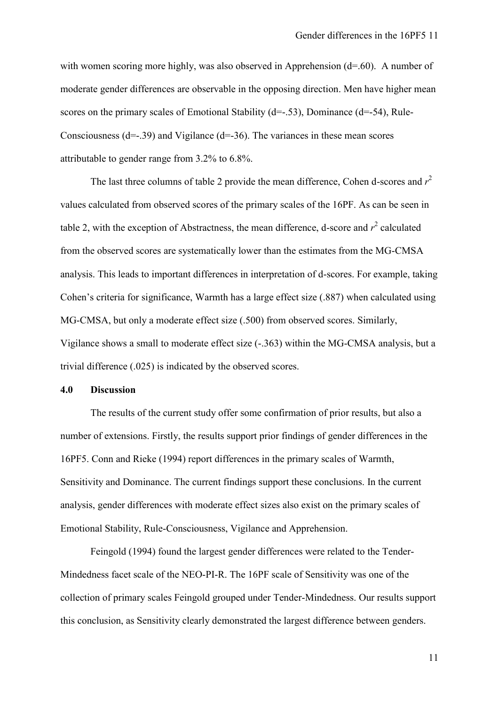with women scoring more highly, was also observed in Apprehension (d=.60). A number of moderate gender differences are observable in the opposing direction. Men have higher mean scores on the primary scales of Emotional Stability (d=-.53), Dominance (d=-54), Rule-Consciousness  $(d=-39)$  and Vigilance  $(d=-36)$ . The variances in these mean scores attributable to gender range from 3.2% to 6.8%.

The last three columns of table 2 provide the mean difference, Cohen d-scores and  $r^2$ values calculated from observed scores of the primary scales of the 16PF. As can be seen in table 2, with the exception of Abstractness, the mean difference, d-score and  $r^2$  calculated from the observed scores are systematically lower than the estimates from the MG-CMSA analysis. This leads to important differences in interpretation of d-scores. For example, taking Cohen's criteria for significance, Warmth has a large effect size (.887) when calculated using MG-CMSA, but only a moderate effect size (.500) from observed scores. Similarly, Vigilance shows a small to moderate effect size (-.363) within the MG-CMSA analysis, but a trivial difference (.025) is indicated by the observed scores.

#### **4.0 Discussion**

The results of the current study offer some confirmation of prior results, but also a number of extensions. Firstly, the results support prior findings of gender differences in the 16PF5. Conn and Rieke (1994) report differences in the primary scales of Warmth, Sensitivity and Dominance. The current findings support these conclusions. In the current analysis, gender differences with moderate effect sizes also exist on the primary scales of Emotional Stability, Rule-Consciousness, Vigilance and Apprehension.

Feingold (1994) found the largest gender differences were related to the Tender-Mindedness facet scale of the NEO-PI-R. The 16PF scale of Sensitivity was one of the collection of primary scales Feingold grouped under Tender-Mindedness. Our results support this conclusion, as Sensitivity clearly demonstrated the largest difference between genders.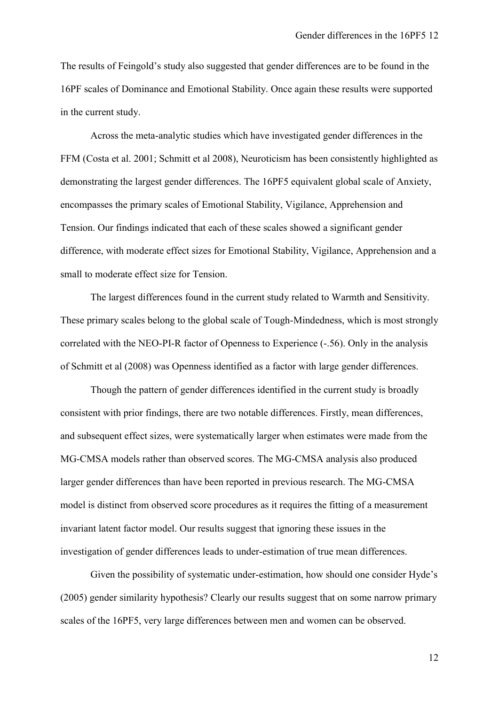The results of Feingold's study also suggested that gender differences are to be found in the 16PF scales of Dominance and Emotional Stability. Once again these results were supported in the current study.

Across the meta-analytic studies which have investigated gender differences in the FFM (Costa et al. 2001; Schmitt et al 2008), Neuroticism has been consistently highlighted as demonstrating the largest gender differences. The 16PF5 equivalent global scale of Anxiety, encompasses the primary scales of Emotional Stability, Vigilance, Apprehension and Tension. Our findings indicated that each of these scales showed a significant gender difference, with moderate effect sizes for Emotional Stability, Vigilance, Apprehension and a small to moderate effect size for Tension.

The largest differences found in the current study related to Warmth and Sensitivity. These primary scales belong to the global scale of Tough-Mindedness, which is most strongly correlated with the NEO-PI-R factor of Openness to Experience (-.56). Only in the analysis of Schmitt et al (2008) was Openness identified as a factor with large gender differences.

Though the pattern of gender differences identified in the current study is broadly consistent with prior findings, there are two notable differences. Firstly, mean differences, and subsequent effect sizes, were systematically larger when estimates were made from the MG-CMSA models rather than observed scores. The MG-CMSA analysis also produced larger gender differences than have been reported in previous research. The MG-CMSA model is distinct from observed score procedures as it requires the fitting of a measurement invariant latent factor model. Our results suggest that ignoring these issues in the investigation of gender differences leads to under-estimation of true mean differences.

Given the possibility of systematic under-estimation, how should one consider Hyde's (2005) gender similarity hypothesis? Clearly our results suggest that on some narrow primary scales of the 16PF5, very large differences between men and women can be observed.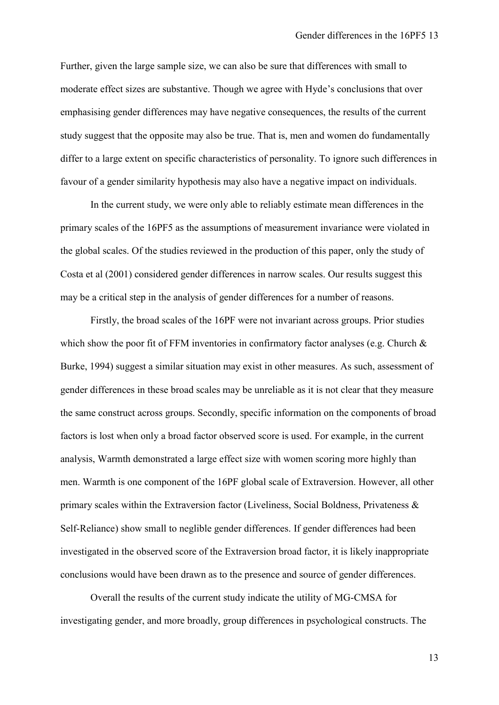Further, given the large sample size, we can also be sure that differences with small to moderate effect sizes are substantive. Though we agree with Hyde's conclusions that over emphasising gender differences may have negative consequences, the results of the current study suggest that the opposite may also be true. That is, men and women do fundamentally differ to a large extent on specific characteristics of personality. To ignore such differences in favour of a gender similarity hypothesis may also have a negative impact on individuals.

In the current study, we were only able to reliably estimate mean differences in the primary scales of the 16PF5 as the assumptions of measurement invariance were violated in the global scales. Of the studies reviewed in the production of this paper, only the study of Costa et al (2001) considered gender differences in narrow scales. Our results suggest this may be a critical step in the analysis of gender differences for a number of reasons.

Firstly, the broad scales of the 16PF were not invariant across groups. Prior studies which show the poor fit of FFM inventories in confirmatory factor analyses (e.g. Church  $\&$ Burke, 1994) suggest a similar situation may exist in other measures. As such, assessment of gender differences in these broad scales may be unreliable as it is not clear that they measure the same construct across groups. Secondly, specific information on the components of broad factors is lost when only a broad factor observed score is used. For example, in the current analysis, Warmth demonstrated a large effect size with women scoring more highly than men. Warmth is one component of the 16PF global scale of Extraversion. However, all other primary scales within the Extraversion factor (Liveliness, Social Boldness, Privateness & Self-Reliance) show small to neglible gender differences. If gender differences had been investigated in the observed score of the Extraversion broad factor, it is likely inappropriate conclusions would have been drawn as to the presence and source of gender differences.

Overall the results of the current study indicate the utility of MG-CMSA for investigating gender, and more broadly, group differences in psychological constructs. The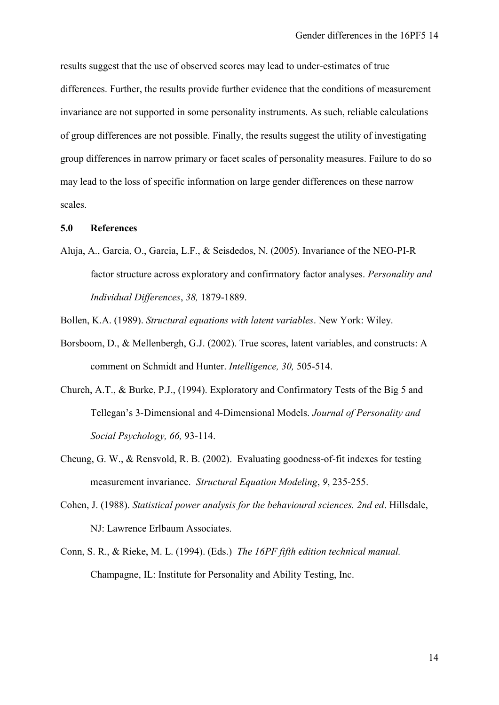results suggest that the use of observed scores may lead to under-estimates of true differences. Further, the results provide further evidence that the conditions of measurement invariance are not supported in some personality instruments. As such, reliable calculations of group differences are not possible. Finally, the results suggest the utility of investigating group differences in narrow primary or facet scales of personality measures. Failure to do so may lead to the loss of specific information on large gender differences on these narrow scales.

#### **5.0 References**

Aluja, A., Garcia, O., Garcia, L.F., & Seisdedos, N. (2005). Invariance of the NEO-PI-R factor structure across exploratory and confirmatory factor analyses. *Personality and Individual Differences*, *38,* 1879-1889.

Bollen, K.A. (1989). *Structural equations with latent variables*. New York: Wiley.

- Borsboom, D., & Mellenbergh, G.J. (2002). True scores, latent variables, and constructs: A comment on Schmidt and Hunter. *Intelligence, 30,* 505-514.
- Church, A.T., & Burke, P.J., (1994). Exploratory and Confirmatory Tests of the Big 5 and Tellegan's 3-Dimensional and 4-Dimensional Models. *Journal of Personality and Social Psychology, 66,* 93-114.
- Cheung, G. W., & Rensvold, R. B. (2002). Evaluating goodness-of-fit indexes for testing measurement invariance. *Structural Equation Modeling*, *9*, 235-255.
- Cohen, J. (1988). *Statistical power analysis for the behavioural sciences. 2nd ed*. Hillsdale, NJ: Lawrence Erlbaum Associates.
- Conn, S. R., & Rieke, M. L. (1994). (Eds.) *The 16PF fifth edition technical manual.*  Champagne, IL: Institute for Personality and Ability Testing, Inc.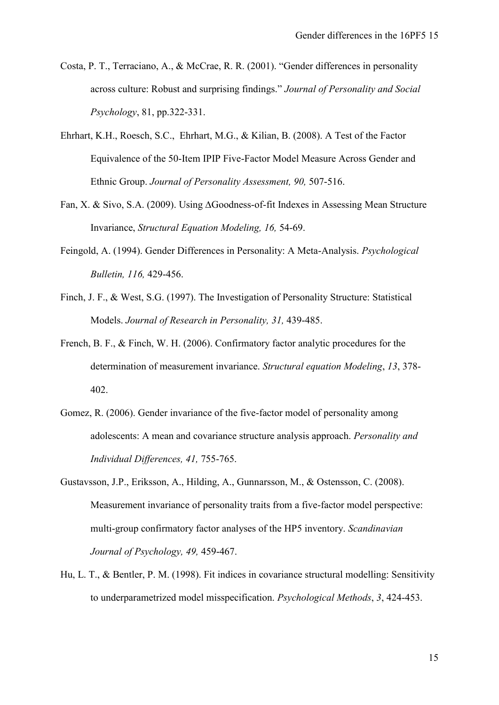- Costa, P. T., Terraciano, A., & McCrae, R. R. (2001). "Gender differences in personality across culture: Robust and surprising findings." *Journal of Personality and Social Psychology*, 81, pp.322-331.
- Ehrhart, K.H., Roesch, S.C., Ehrhart, M.G., & Kilian, B. (2008). A Test of the Factor Equivalence of the 50-Item IPIP Five-Factor Model Measure Across Gender and Ethnic Group. *Journal of Personality Assessment, 90,* 507-516.
- Fan, X. & Sivo, S.A. (2009). Using ∆Goodness-of-fit Indexes in Assessing Mean Structure Invariance, *Structural Equation Modeling, 16,* 54-69.
- Feingold, A. (1994). Gender Differences in Personality: A Meta-Analysis. *Psychological Bulletin, 116,* 429-456.
- Finch, J. F., & West, S.G. (1997). The Investigation of Personality Structure: Statistical Models. *Journal of Research in Personality, 31,* 439-485.
- French, B. F., & Finch, W. H. (2006). Confirmatory factor analytic procedures for the determination of measurement invariance. *Structural equation Modeling*, *13*, 378- 402.
- Gomez, R. (2006). Gender invariance of the five-factor model of personality among adolescents: A mean and covariance structure analysis approach. *Personality and Individual Differences, 41,* 755-765.
- Gustavsson, J.P., Eriksson, A., Hilding, A., Gunnarsson, M., & Ostensson, C. (2008). Measurement invariance of personality traits from a five-factor model perspective: multi-group confirmatory factor analyses of the HP5 inventory. *Scandinavian Journal of Psychology, 49,* 459-467.
- Hu, L. T., & Bentler, P. M. (1998). Fit indices in covariance structural modelling: Sensitivity to underparametrized model misspecification. *Psychological Methods*, *3*, 424-453.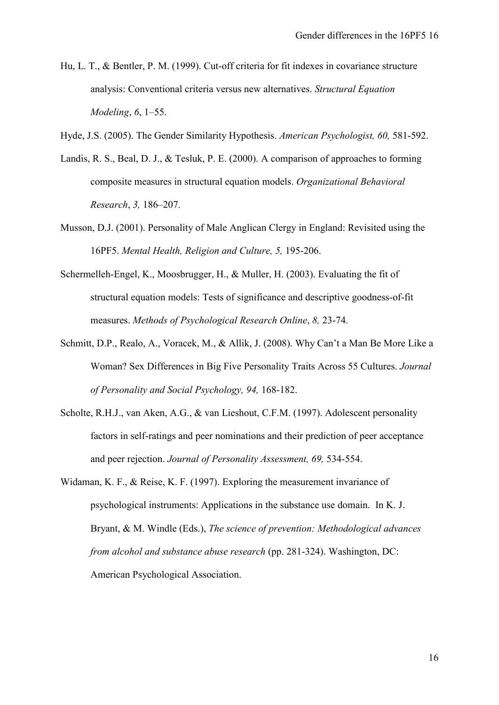- Hu, L. T., & Bentler, P. M. (1999). Cut-off criteria for fit indexes in covariance structure analysis: Conventional criteria versus new alternatives. *Structural Equation Modeling*, *6*, 1–55.
- Hyde, J.S. (2005). The Gender Similarity Hypothesis. *American Psychologist, 60,* 581-592.
- Landis, R. S., Beal, D. J., & Tesluk, P. E. (2000). A comparison of approaches to forming composite measures in structural equation models. *Organizational Behavioral Research*, *3,* 186–207.
- Musson, D.J. (2001). Personality of Male Anglican Clergy in England: Revisited using the 16PF5. *Mental Health, Religion and Culture, 5,* 195-206.
- Schermelleh-Engel, K., Moosbrugger, H., & Muller, H. (2003). Evaluating the fit of structural equation models: Tests of significance and descriptive goodness-of-fit measures. *Methods of Psychological Research Online*, *8,* 23-74.
- Schmitt, D.P., Realo, A., Voracek, M., & Allik, J. (2008). Why Can't a Man Be More Like a Woman? Sex Differences in Big Five Personality Traits Across 55 Cultures. *Journal of Personality and Social Psychology, 94,* 168-182.
- Scholte, R.H.J., van Aken, A.G., & van Lieshout, C.F.M. (1997). Adolescent personality factors in self-ratings and peer nominations and their prediction of peer acceptance and peer rejection. *Journal of Personality Assessment, 69,* 534-554.
- Widaman, K. F., & Reise, K. F. (1997). Exploring the measurement invariance of psychological instruments: Applications in the substance use domain. In K. J. Bryant, & M. Windle (Eds.), *The science of prevention: Methodological advances from alcohol and substance abuse research* (pp. 281-324). Washington, DC: American Psychological Association.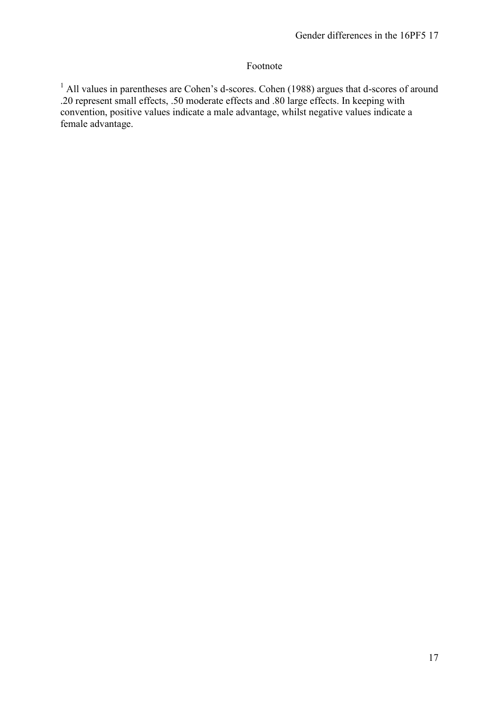## Footnote

<sup>1</sup> All values in parentheses are Cohen's d-scores. Cohen (1988) argues that d-scores of around .20 represent small effects, .50 moderate effects and .80 large effects. In keeping with convention, positive values indicate a male advantage, whilst negative values indicate a female advantage.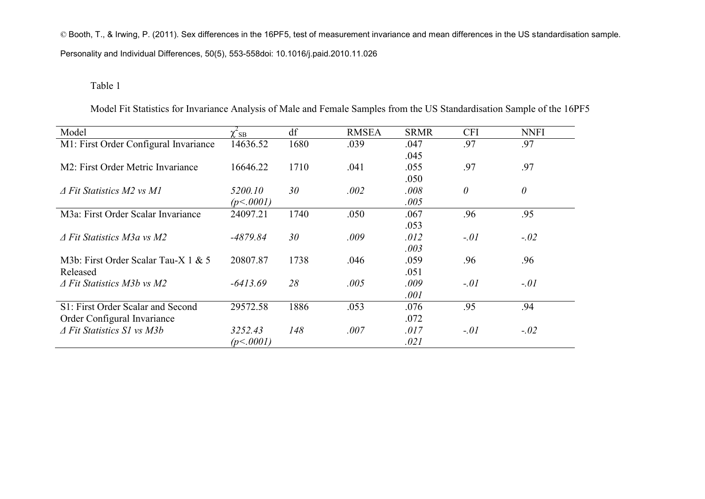© Booth, T., & Irwing, P. (2011). Sex differences in the 16PF5, test of measurement invariance and mean differences in the US standardisation sample. Personality and Individual Differences, 50(5), 553-558doi: 10.1016/j.paid.2010.11.026

#### Table 1

Model  $\chi^2_{\rm SB}$  $\frac{\chi^2_{SB}}{14636.52}$  df RMSEA SRMR CFI NNFI<br>14636.52 1680 .039 .047 .97 .97 M1: First Order Configural Invariance 14636.52 1680 .039 .045 .97 .97 M2: First Order Metric Invariance 16646.22 1710 .041 .055 .050 .97 .97 *Δ Fit Statistics M2 vs M1 5200.10 (p<.0001) 30 .002 .008 .005 0 0* M3a: First Order Scalar Invariance 24097.21 1740 .050 .067 .053 .96 .95 *Δ Fit Statistics M3a vs M2 -4879.84 30 .009 .012 .003 -.01 -.02* M3b: First Order Scalar Tau-X 1 & 5 Released 20807.87 1738 .046 .059 .051 .96 .96 *Δ Fit Statistics M3b vs M2 -6413.69 28 .005 .009 .001 -.01 -.01* S1: First Order Scalar and Second Order Configural Invariance 29572.58 1886 .053 .076 .072 .95 .94 *Δ Fit Statistics S1 vs M3b 3252.43 (p<.0001) 148 .007 .017 .021 -.01 -.02*

Model Fit Statistics for Invariance Analysis of Male and Female Samples from the US Standardisation Sample of the 16PF5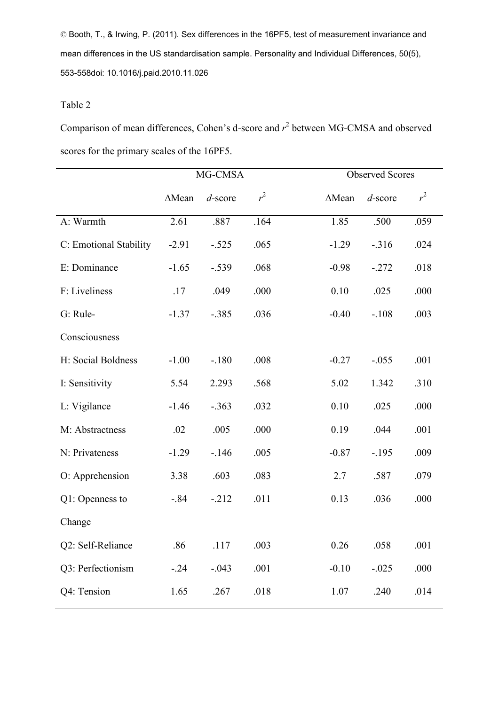© Booth, T., & Irwing, P. (2011). Sex differences in the 16PF5, test of measurement invariance and mean differences in the US standardisation sample. Personality and Individual Differences, 50(5), 553-558doi: 10.1016/j.paid.2010.11.026

#### Table 2

Comparison of mean differences, Cohen's d-score and  $r^2$  between MG-CMSA and observed scores for the primary scales of the 16PF5.

|                        | MG-CMSA       |            |        |               | <b>Observed Scores</b> |       |  |
|------------------------|---------------|------------|--------|---------------|------------------------|-------|--|
|                        | $\Delta$ Mean | $d$ -score | $r^2$  | $\Delta$ Mean | $d$ -score             | $r^2$ |  |
| A: Warmth              | 2.61          | .887       | .164   | 1.85          | .500                   | .059  |  |
| C: Emotional Stability | $-2.91$       | $-.525$    | .065   | $-1.29$       | $-316$                 | .024  |  |
| E: Dominance           | $-1.65$       | $-.539$    | .068   | $-0.98$       | $-272$                 | .018  |  |
| F: Liveliness          | .17           | .049       | .000   | 0.10          | .025                   | .000  |  |
| G: Rule-               | $-1.37$       | $-.385$    | .036   | $-0.40$       | $-.108$                | .003  |  |
| Consciousness          |               |            |        |               |                        |       |  |
| H: Social Boldness     | $-1.00$       | $-.180$    | .008   | $-0.27$       | $-0.055$               | .001  |  |
| I: Sensitivity         | 5.54          | 2.293      | .568   | 5.02          | 1.342                  | .310  |  |
| L: Vigilance           | $-1.46$       | $-.363$    | .032   | 0.10          | .025                   | .000  |  |
| M: Abstractness        | .02           | .005       | .000   | 0.19          | .044                   | .001  |  |
| N: Privateness         | $-1.29$       | $-146$     | .005   | $-0.87$       | $-195$                 | .009  |  |
| O: Apprehension        | 3.38          | .603       | .083   | 2.7           | .587                   | .079  |  |
| Q1: Openness to        | $-.84$        | $-212$     | .011   | 0.13          | .036                   | .000  |  |
| Change                 |               |            |        |               |                        |       |  |
| Q2: Self-Reliance      | .86           | .117       | .003   | 0.26          | .058                   | .001  |  |
| Q3: Perfectionism      | $-.24$        | $-.043$    | .001   | $-0.10$       | $-.025$                | .000  |  |
| Q4: Tension            | 1.65          | .267       | $.018$ | 1.07          | .240                   | .014  |  |